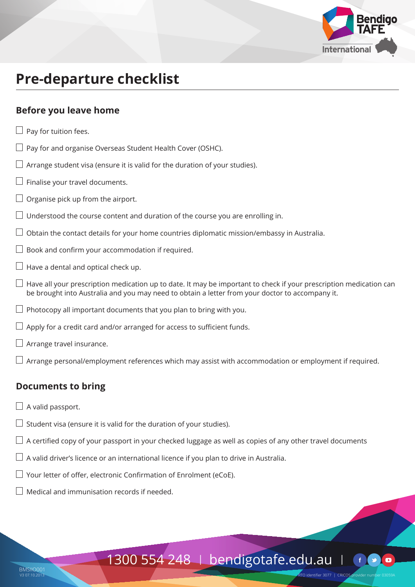

# **Pre-departure checklist**

### **Before you leave home**

 $\Box$  Pay for tuition fees.  $\Box$  Pay for and organise Overseas Student Health Cover (OSHC).  $\Box$  Arrange student visa (ensure it is valid for the duration of your studies).  $\Box$  Finalise your travel documents.  $\Box$  Organise pick up from the airport.  $\Box$  Understood the course content and duration of the course you are enrolling in.  $\Box$  Obtain the contact details for your home countries diplomatic mission/embassy in Australia.  $\Box$  Book and confirm your accommodation if required.  $\Box$  Have a dental and optical check up.  $\Box$  Have all your prescription medication up to date. It may be important to check if your prescription medication can be brought into Australia and you may need to obtain a letter from your doctor to accompany it.  $\Box$  Photocopy all important documents that you plan to bring with you.  $\Box$  Apply for a credit card and/or arranged for access to sufficient funds.  $\Box$  Arrange travel insurance.  $\Box$  Arrange personal/employment references which may assist with accommodation or employment if required.

## **Documents to bring**

- $\Box$  A valid passport.
- $\Box$  Student visa (ensure it is valid for the duration of your studies).
- $\Box$  A certified copy of your passport in your checked luggage as well as copies of any other travel documents
- $\Box$  A valid driver's licence or an international licence if you plan to drive in Australia.
- $\Box$  Your letter of offer, electronic Confirmation of Enrolment (eCoE).
- $\Box$  Medical and immunisation records if needed.

# 1300 554 248 | bendigotafe.edu.au |

.<br>TO identifier 3077 I